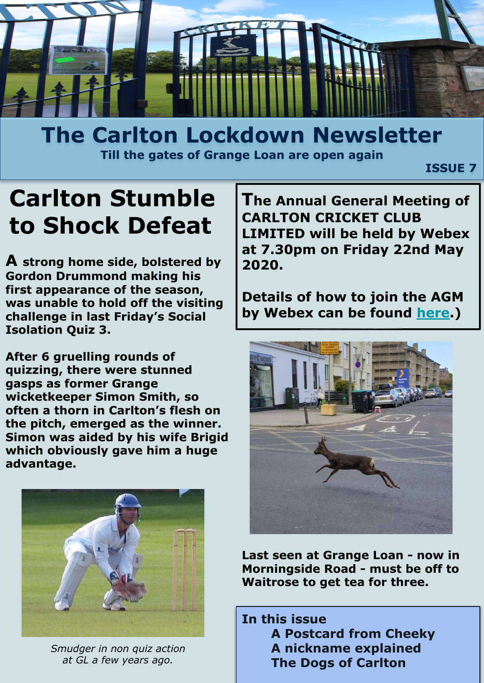

### **The Carlton Lockdown Newsletter Till the gates of Grange Loan are open again**

 *ISSUE 7* **ISSUE 7** 

# **Carlton Stumble to Shock Defeat**

**A strong home side, bolstered by Gordon Drummond making his first appearance of the season, was unable to hold off the visiting challenge in last Friday's Social Isolation Quiz 3.**

**After 6 gruelling rounds of quizzing, there were stunned gasps as former Grange wicketkeeper Simon Smith, so often a thorn in Carlton's flesh on the pitch, emerged as the winner. Simon was aided by his wife Brigid which obviously gave him a huge advantage.**



*Smudger in non quiz action at GL a few years ago.*

**The Annual General Meeting of CARLTON CRICKET CLUB LIMITED will be held by Webex at 7.30pm on Friday 22nd May 2020.** 

**Details of how to join the AGM by Webex can be found [here](http://carltoncc.co.uk/wp-content/uploads/2020/04/Carlton-Webex-Instructions-for-AGM.docx).)**



**Last seen at Grange Loan - now in Morningside Road - must be off to Waitrose to get tea for three.**

**In this issue A Postcard from Cheeky A nickname explained The Dogs of Carlton**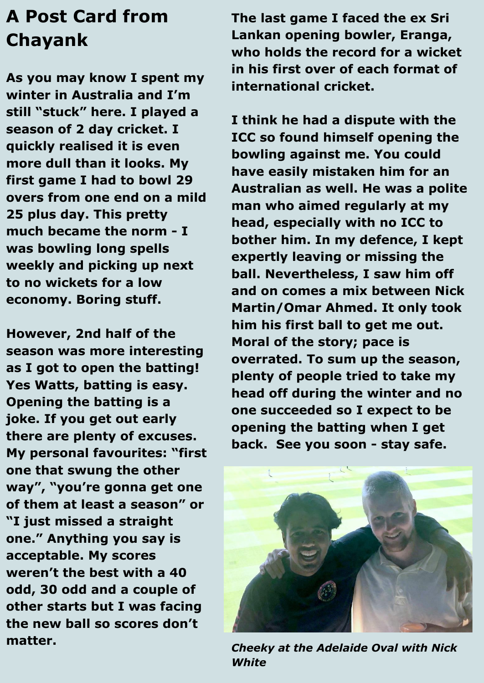## **A Post Card from Chayank**

**As you may know I spent my winter in Australia and I'm still "stuck" here. I played a season of 2 day cricket. I quickly realised it is even more dull than it looks. My first game I had to bowl 29 overs from one end on a mild 25 plus day. This pretty much became the norm - I was bowling long spells weekly and picking up next to no wickets for a low economy. Boring stuff.** 

**However, 2nd half of the season was more interesting as I got to open the batting! Yes Watts, batting is easy. Opening the batting is a joke. If you get out early there are plenty of excuses. My personal favourites: "first one that swung the other way", "you're gonna get one of them at least a season" or "I just missed a straight one." Anything you say is acceptable. My scores weren't the best with a 40 odd, 30 odd and a couple of other starts but I was facing the new ball so scores don't matter.**

**The last game I faced the ex Sri Lankan opening bowler, Eranga, who holds the record for a wicket in his first over of each format of international cricket.** 

**I think he had a dispute with the ICC so found himself opening the bowling against me. You could have easily mistaken him for an Australian as well. He was a polite man who aimed regularly at my head, especially with no ICC to bother him. In my defence, I kept expertly leaving or missing the ball. Nevertheless, I saw him off and on comes a mix between Nick Martin/Omar Ahmed. It only took him his first ball to get me out. Moral of the story; pace is overrated. To sum up the season, plenty of people tried to take my head off during the winter and no one succeeded so I expect to be opening the batting when I get back. See you soon - stay safe.**



*Cheeky at the Adelaide Oval with Nick White*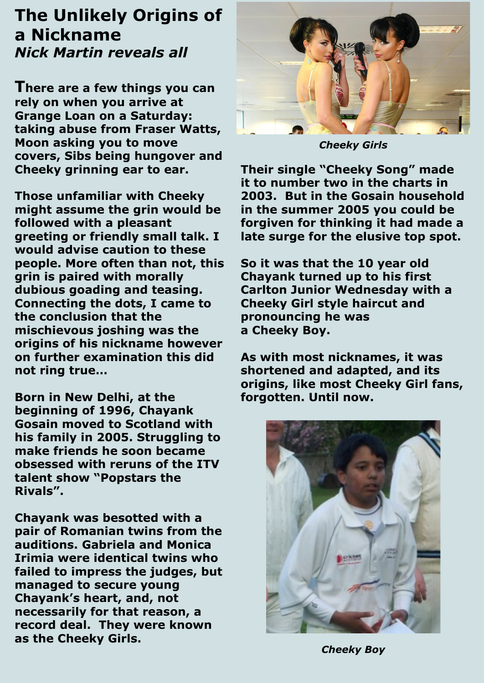#### **The Unlikely Origins of a Nickname** *Nick Martin reveals all*

**There are a few things you can rely on when you arrive at Grange Loan on a Saturday: taking abuse from Fraser Watts, Moon asking you to move covers, Sibs being hungover and Cheeky grinning ear to ear.** 

**Those unfamiliar with Cheeky might assume the grin would be followed with a pleasant greeting or friendly small talk. I would advise caution to these people. More often than not, this grin is paired with morally dubious goading and teasing. Connecting the dots, I came to the conclusion that the mischievous joshing was the origins of his nickname however on further examination this did not ring true…**

**Born in New Delhi, at the beginning of 1996, Chayank Gosain moved to Scotland with his family in 2005. Struggling to make friends he soon became obsessed with reruns of the ITV talent show "Popstars the Rivals".** 

**Chayank was besotted with a pair of Romanian twins from the auditions. Gabriela and Monica Irimia were identical twins who failed to impress the judges, but managed to secure young Chayank's heart, and, not necessarily for that reason, a record deal. They were known as the Cheeky Girls.**



*Cheeky Girls*

**Their single "Cheeky Song" made it to number two in the charts in 2003. But in the Gosain household in the summer 2005 you could be forgiven for thinking it had made a late surge for the elusive top spot.** 

**So it was that the 10 year old Chayank turned up to his first Carlton Junior Wednesday with a Cheeky Girl style haircut and pronouncing he was a Cheeky Boy.**

**As with most nicknames, it was shortened and adapted, and its origins, like most Cheeky Girl fans, forgotten. Until now.**



*Cheeky Boy*